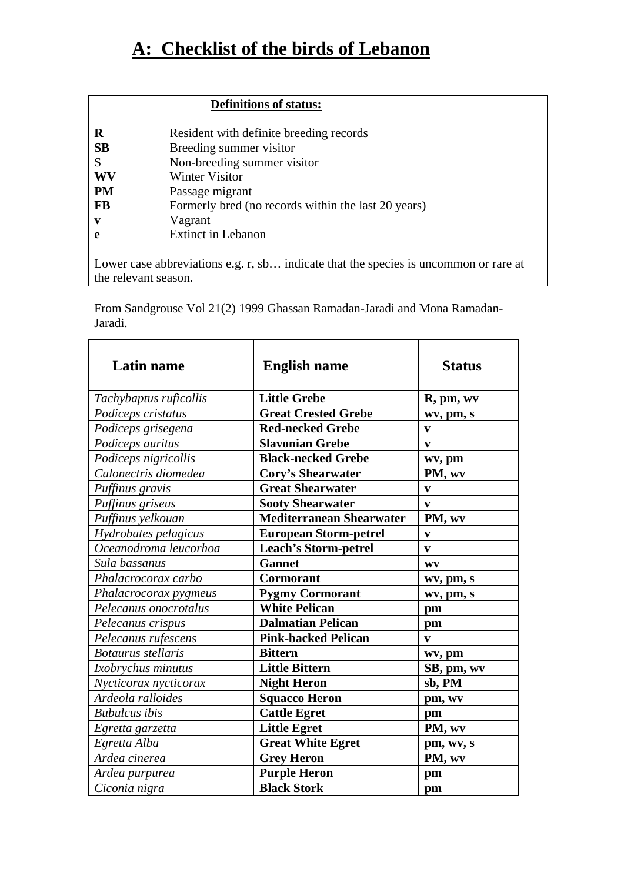## **A: Checklist of the birds of Lebanon**

## **Definitions of status:**

| R         | Resident with definite breeding records             |
|-----------|-----------------------------------------------------|
| SB        | Breeding summer visitor                             |
| S         | Non-breeding summer visitor                         |
| WV        | <b>Winter Visitor</b>                               |
| <b>PM</b> | Passage migrant                                     |
| FB        | Formerly bred (no records within the last 20 years) |
| v         | Vagrant                                             |
| e         | <b>Extinct in Lebanon</b>                           |
|           |                                                     |

Lower case abbreviations e.g. r, sb… indicate that the species is uncommon or rare at the relevant season.

From Sandgrouse Vol 21(2) 1999 Ghassan Ramadan-Jaradi and Mona Ramadan-Jaradi.

| <b>Latin name</b>         | <b>English name</b>             | <b>Status</b> |
|---------------------------|---------------------------------|---------------|
| Tachybaptus ruficollis    | <b>Little Grebe</b>             | R, pm, wv     |
| Podiceps cristatus        | <b>Great Crested Grebe</b>      | wv, pm, s     |
| Podiceps grisegena        | <b>Red-necked Grebe</b>         | $\mathbf{v}$  |
| Podiceps auritus          | <b>Slavonian Grebe</b>          | $\mathbf{v}$  |
| Podiceps nigricollis      | <b>Black-necked Grebe</b>       | wv, pm        |
| Calonectris diomedea      | <b>Cory's Shearwater</b>        | PM, wv        |
| Puffinus gravis           | <b>Great Shearwater</b>         | $\mathbf{v}$  |
| Puffinus griseus          | <b>Sooty Shearwater</b>         | $\mathbf{v}$  |
| Puffinus yelkouan         | <b>Mediterranean Shearwater</b> | PM, wv        |
| Hydrobates pelagicus      | <b>European Storm-petrel</b>    | $\mathbf{v}$  |
| Oceanodroma leucorhoa     | <b>Leach's Storm-petrel</b>     | $\mathbf{v}$  |
| Sula bassanus             | <b>Gannet</b>                   | WV            |
| Phalacrocorax carbo       | <b>Cormorant</b>                | wv, pm, s     |
| Phalacrocorax pygmeus     | <b>Pygmy Cormorant</b>          | wv, pm, s     |
| Pelecanus onocrotalus     | <b>White Pelican</b>            | pm            |
| Pelecanus crispus         | <b>Dalmatian Pelican</b>        | pm            |
| Pelecanus rufescens       | <b>Pink-backed Pelican</b>      | V             |
| <b>Botaurus</b> stellaris | <b>Bittern</b>                  | wv, pm        |
| Ixobrychus minutus        | <b>Little Bittern</b>           | SB, pm, wv    |
| Nycticorax nycticorax     | <b>Night Heron</b>              | sb, PM        |
| Ardeola ralloides         | <b>Squacco Heron</b>            | pm, wv        |
| <b>Bubulcus</b> ibis      | <b>Cattle Egret</b>             | pm            |
| Egretta garzetta          | <b>Little Egret</b>             | PM, wv        |
| Egretta Alba              | <b>Great White Egret</b>        | pm, wv, s     |
| Ardea cinerea             | <b>Grey Heron</b>               | PM, wv        |
| Ardea purpurea            | <b>Purple Heron</b>             | pm            |
| Ciconia nigra             | <b>Black Stork</b>              | pm            |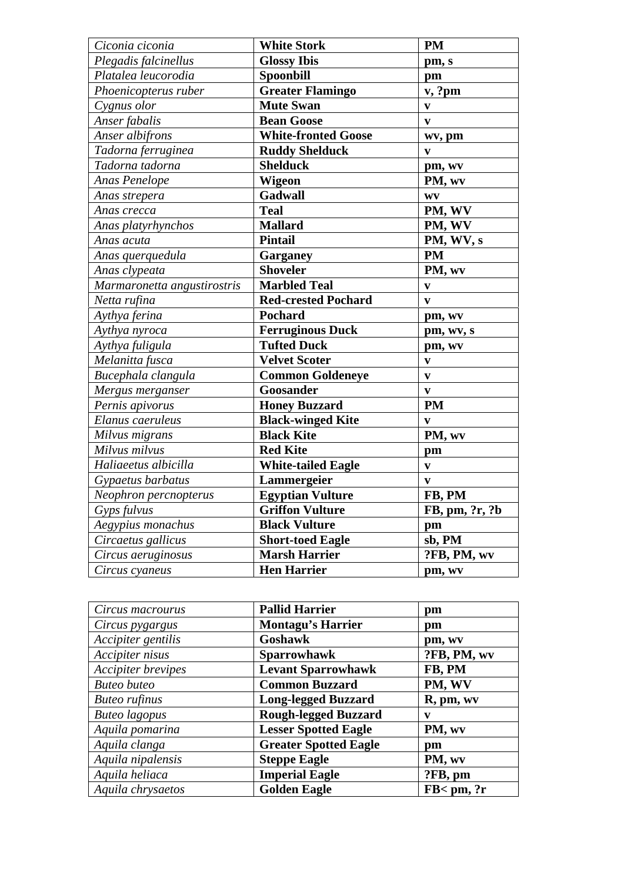| Ciconia ciconia             | <b>White Stork</b>         | <b>PM</b>                 |
|-----------------------------|----------------------------|---------------------------|
| Plegadis falcinellus        | <b>Glossy Ibis</b>         | pm, s                     |
| Platalea leucorodia         | <b>Spoonbill</b>           | pm                        |
| Phoenicopterus ruber        | <b>Greater Flamingo</b>    | v, ?pm                    |
| Cygnus olor                 | <b>Mute Swan</b>           | V                         |
| Anser fabalis               | <b>Bean Goose</b>          | $\boldsymbol{\mathrm{v}}$ |
| Anser albifrons             | <b>White-fronted Goose</b> | wv, pm                    |
| Tadorna ferruginea          | <b>Ruddy Shelduck</b>      | $\mathbf{v}$              |
| Tadorna tadorna             | <b>Shelduck</b>            | pm, wv                    |
| Anas Penelope               | Wigeon                     | PM, wv                    |
| Anas strepera               | Gadwall                    | $\mathbf{W}\mathbf{V}$    |
| Anas crecca                 | <b>Teal</b>                | PM, WV                    |
| Anas platyrhynchos          | <b>Mallard</b>             | PM, WV                    |
| Anas acuta                  | <b>Pintail</b>             | PM, WV, s                 |
| Anas querquedula            | Garganey                   | <b>PM</b>                 |
| Anas clypeata               | <b>Shoveler</b>            | PM, wv                    |
| Marmaronetta angustirostris | Marbled Teal               | $\boldsymbol{\mathrm{v}}$ |
| Netta rufina                | <b>Red-crested Pochard</b> | $\overline{\mathbf{v}}$   |
| Aythya ferina               | Pochard                    | pm, wv                    |
| Aythya nyroca               | <b>Ferruginous Duck</b>    | pm, wv, s                 |
| Aythya fuligula             | <b>Tufted Duck</b>         | pm, wv                    |
| Melanitta fusca             | <b>Velvet Scoter</b>       | $\boldsymbol{\mathrm{v}}$ |
| Bucephala clangula          | <b>Common Goldeneye</b>    | $\overline{\mathbf{v}}$   |
| Mergus merganser            | Goosander                  | $\boldsymbol{\mathrm{v}}$ |
| Pernis apivorus             | <b>Honey Buzzard</b>       | <b>PM</b>                 |
| Elanus caeruleus            | <b>Black-winged Kite</b>   | $\boldsymbol{\mathrm{v}}$ |
| Milvus migrans              | <b>Black Kite</b>          | PM, wv                    |
| Milvus milvus               | <b>Red Kite</b>            | pm                        |
| Haliaeetus albicilla        | <b>White-tailed Eagle</b>  | $\overline{\mathbf{v}}$   |
| Gypaetus barbatus           | Lammergeier                | $\overline{\mathbf{v}}$   |
| Neophron percnopterus       | <b>Egyptian Vulture</b>    | FB, PM                    |
| Gyps fulvus                 | <b>Griffon Vulture</b>     | FB, pm, ?r, ?b            |
| Aegypius monachus           | <b>Black Vulture</b>       | pm                        |
| Circaetus gallicus          | <b>Short-toed Eagle</b>    | sb, PM                    |
| Circus aeruginosus          | <b>Marsh Harrier</b>       | ?FB, PM, wv               |
| Circus cyaneus              | <b>Hen Harrier</b>         | pm, wv                    |
|                             |                            |                           |

| Circus macrourus     | <b>Pallid Harrier</b>        | pm                      |
|----------------------|------------------------------|-------------------------|
| Circus pygargus      | <b>Montagu's Harrier</b>     | pm                      |
| Accipiter gentilis   | Goshawk                      | pm, wv                  |
| Accipiter nisus      | <b>Sparrowhawk</b>           | ?FB, PM, wv             |
| Accipiter brevipes   | <b>Levant Sparrowhawk</b>    | FB, PM                  |
| <b>Buteo</b> buteo   | <b>Common Buzzard</b>        | PM, WV                  |
| <b>Buteo</b> rufinus | <b>Long-legged Buzzard</b>   | R, pm, wv               |
| <b>Buteo</b> lagopus | <b>Rough-legged Buzzard</b>  | v                       |
| Aquila pomarina      | <b>Lesser Spotted Eagle</b>  | PM, wv                  |
| Aquila clanga        | <b>Greater Spotted Eagle</b> | pm                      |
| Aquila nipalensis    | <b>Steppe Eagle</b>          | PM, wv                  |
| Aquila heliaca       | <b>Imperial Eagle</b>        | ?FB, pm                 |
| Aquila chrysaetos    | <b>Golden Eagle</b>          | $FB < \text{pm}$ , $?r$ |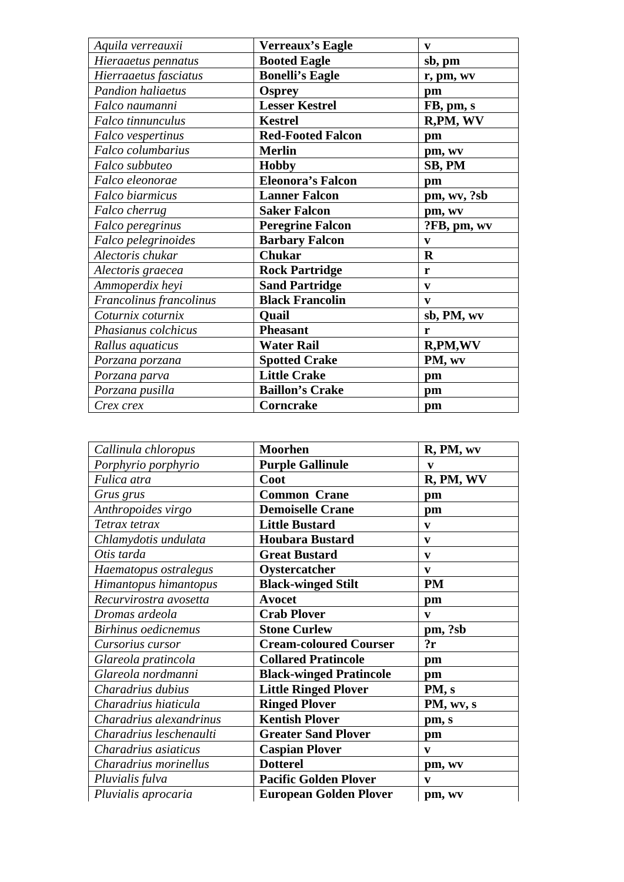| Aquila verreauxii        | <b>Verreaux's Eagle</b>  | $\mathbf{v}$ |
|--------------------------|--------------------------|--------------|
| Hieraaetus pennatus      | <b>Booted Eagle</b>      | sb, pm       |
| Hierraaetus fasciatus    | <b>Bonelli's Eagle</b>   | r, pm, wv    |
| <b>Pandion haliaetus</b> | <b>Osprey</b>            | pm           |
| Falco naumanni           | <b>Lesser Kestrel</b>    | FB, pm, s    |
| Falco tinnunculus        | <b>Kestrel</b>           | R,PM, WV     |
| Falco vespertinus        | <b>Red-Footed Falcon</b> | $pm$         |
| Falco columbarius        | <b>Merlin</b>            | pm, wv       |
| Falco subbuteo           | <b>Hobby</b>             | SB, PM       |
| Falco eleonorae          | <b>Eleonora's Falcon</b> | pm           |
| Falco biarmicus          | <b>Lanner Falcon</b>     | pm, wv, ?sb  |
| Falco cherrug            | <b>Saker Falcon</b>      | pm, wv       |
| Falco peregrinus         | <b>Peregrine Falcon</b>  | ?FB, pm, wv  |
| Falco pelegrinoides      | <b>Barbary Falcon</b>    | $\mathbf{v}$ |
| Alectoris chukar         | <b>Chukar</b>            | $\mathbf R$  |
| Alectoris graecea        | <b>Rock Partridge</b>    | r            |
| Ammoperdix heyi          | <b>Sand Partridge</b>    | $\mathbf{v}$ |
| Francolinus francolinus  | <b>Black Francolin</b>   | $\mathbf{v}$ |
| Coturnix coturnix        | Quail                    | sb, PM, wv   |
| Phasianus colchicus      | <b>Pheasant</b>          | r            |
| Rallus aquaticus         | <b>Water Rail</b>        | R,PM,WV      |
| Porzana porzana          | <b>Spotted Crake</b>     | PM, wv       |
| Porzana parva            | <b>Little Crake</b>      | pm           |
| Porzana pusilla          | <b>Baillon's Crake</b>   | pm           |
| Crex crex                | Corncrake                | pm           |

| Callinula chloropus     | <b>Moorhen</b>                 | R, PM, wv    |
|-------------------------|--------------------------------|--------------|
| Porphyrio porphyrio     | <b>Purple Gallinule</b>        | v            |
| Fulica atra             | Coot                           | R, PM, WV    |
| Grus grus               | <b>Common Crane</b>            | pm           |
| Anthropoides virgo      | <b>Demoiselle Crane</b>        | pm           |
| Tetrax tetrax           | <b>Little Bustard</b>          | $\mathbf{v}$ |
| Chlamydotis undulata    | <b>Houbara Bustard</b>         | $\mathbf{v}$ |
| Otis tarda              | <b>Great Bustard</b>           | $\mathbf{v}$ |
| Haematopus ostralegus   | Oystercatcher                  | $\mathbf{v}$ |
| Himantopus himantopus   | <b>Black-winged Stilt</b>      | <b>PM</b>    |
| Recurvirostra avosetta  | <b>Avocet</b>                  | pm           |
| Dromas ardeola          | <b>Crab Plover</b>             | $\mathbf{v}$ |
| Birhinus oedicnemus     | <b>Stone Curlew</b>            | pm, ?sb      |
| Cursorius cursor        | <b>Cream-coloured Courser</b>  | 2r           |
| Glareola pratincola     | <b>Collared Pratincole</b>     | pm           |
| Glareola nordmanni      | <b>Black-winged Pratincole</b> | pm           |
| Charadrius dubius       | <b>Little Ringed Plover</b>    | PM, s        |
| Charadrius hiaticula    | <b>Ringed Plover</b>           | PM, wv, s    |
| Charadrius alexandrinus | <b>Kentish Plover</b>          | pm, s        |
| Charadrius leschenaulti | <b>Greater Sand Plover</b>     | pm           |
| Charadrius asiaticus    | <b>Caspian Plover</b>          | $\mathbf{v}$ |
| Charadrius morinellus   | <b>Dotterel</b>                | pm, wv       |
| Pluvialis fulva         | <b>Pacific Golden Plover</b>   | $\mathbf{v}$ |
| Pluvialis aprocaria     | <b>European Golden Plover</b>  | pm, wv       |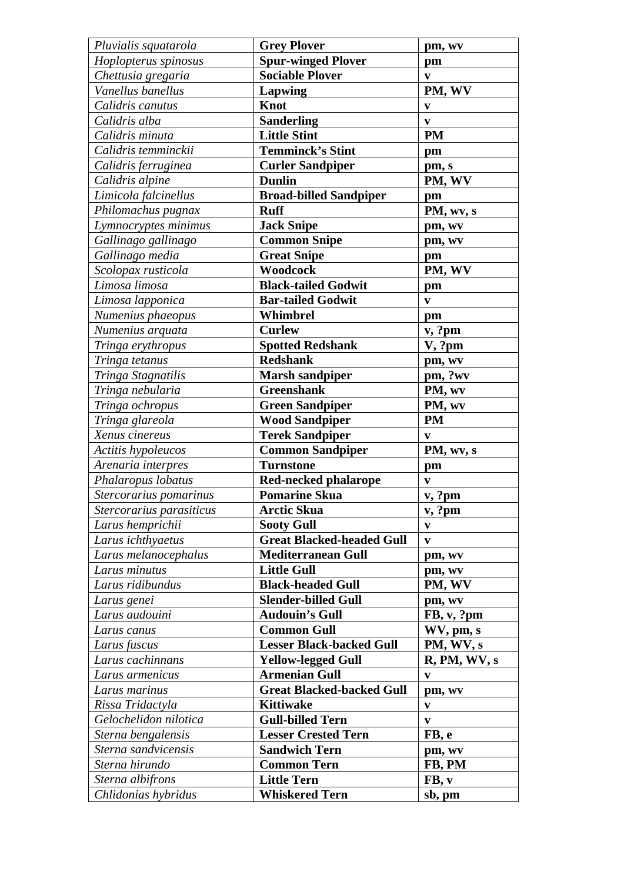| Pluvialis squatarola     | <b>Grey Plover</b>               | pm, wv       |
|--------------------------|----------------------------------|--------------|
| Hoplopterus spinosus     | <b>Spur-winged Plover</b>        | pm           |
| Chettusia gregaria       | <b>Sociable Plover</b>           | $\mathbf{v}$ |
| Vanellus banellus        | Lapwing                          | PM, WV       |
| Calidris canutus         | <b>Knot</b>                      | $\mathbf{v}$ |
| Calidris alba            | <b>Sanderling</b>                | $\mathbf{v}$ |
| Calidris minuta          | <b>Little Stint</b>              | <b>PM</b>    |
| Calidris temminckii      | <b>Temminck's Stint</b>          | pm           |
| Calidris ferruginea      | <b>Curler Sandpiper</b>          | pm, s        |
| Calidris alpine          | <b>Dunlin</b>                    | PM, WV       |
| Limicola falcinellus     | <b>Broad-billed Sandpiper</b>    | pm           |
| Philomachus pugnax       | <b>Ruff</b>                      | PM, wv, s    |
| Lymnocryptes minimus     | <b>Jack Snipe</b>                | pm, wv       |
| Gallinago gallinago      | <b>Common Snipe</b>              | pm, wv       |
| Gallinago media          | <b>Great Snipe</b>               | pm           |
| Scolopax rusticola       | Woodcock                         | PM, WV       |
| Limosa limosa            | <b>Black-tailed Godwit</b>       | pm           |
| Limosa lapponica         | <b>Bar-tailed Godwit</b>         | $\mathbf{v}$ |
| Numenius phaeopus        | Whimbrel                         | pm           |
| Numenius arquata         | <b>Curlew</b>                    | v, ?pm       |
| Tringa erythropus        | <b>Spotted Redshank</b>          | V, ?pm       |
| Tringa tetanus           | <b>Redshank</b>                  | pm, wv       |
| Tringa Stagnatilis       | <b>Marsh sandpiper</b>           | pm, ?wv      |
| Tringa nebularia         | <b>Greenshank</b>                | PM, wv       |
| Tringa ochropus          | <b>Green Sandpiper</b>           | PM, wv       |
| Tringa glareola          | <b>Wood Sandpiper</b>            | <b>PM</b>    |
| Xenus cinereus           | <b>Terek Sandpiper</b>           | V            |
| Actitis hypoleucos       | <b>Common Sandpiper</b>          | PM, wv, s    |
| Arenaria interpres       | <b>Turnstone</b>                 | pm           |
| Phalaropus lobatus       | <b>Red-necked phalarope</b>      | $\mathbf{v}$ |
| Stercorarius pomarinus   | <b>Pomarine Skua</b>             | v, ?pm       |
| Stercorarius parasiticus | <b>Arctic Skua</b>               | v, ?pm       |
| Larus hemprichii         | <b>Sooty Gull</b>                | $\mathbf{V}$ |
| Larus ichthyaetus        | <b>Great Blacked-headed Gull</b> | $\mathbf{v}$ |
| Larus melanocephalus     | <b>Mediterranean Gull</b>        | pm, wv       |
| Larus minutus            | <b>Little Gull</b>               | pm, wv       |
| Larus ridibundus         | <b>Black-headed Gull</b>         | PM, WV       |
| Larus genei              | <b>Slender-billed Gull</b>       | pm, wv       |
| Larus audouini           | <b>Audouin's Gull</b>            | FB, v, ?pm   |
| Larus canus              | <b>Common Gull</b>               | WV, pm, s    |
| Larus fuscus             | <b>Lesser Black-backed Gull</b>  | PM, WV, s    |
| Larus cachinnans         | <b>Yellow-legged Gull</b>        | R, PM, WV, s |
| Larus armenicus          | <b>Armenian Gull</b>             | V            |
| Larus marinus            | <b>Great Blacked-backed Gull</b> | pm, wv       |
| Rissa Tridactyla         | <b>Kittiwake</b>                 | $\mathbf{v}$ |
| Gelochelidon nilotica    | <b>Gull-billed Tern</b>          | $\mathbf{V}$ |
| Sterna bengalensis       | <b>Lesser Crested Tern</b>       | FB, e        |
| Sterna sandvicensis      | <b>Sandwich Tern</b>             | pm, wv       |
| Sterna hirundo           | <b>Common Tern</b>               | FB, PM       |
| Sterna albifrons         | <b>Little Tern</b>               | FB, v        |
| Chlidonias hybridus      | <b>Whiskered Tern</b>            | sb, pm       |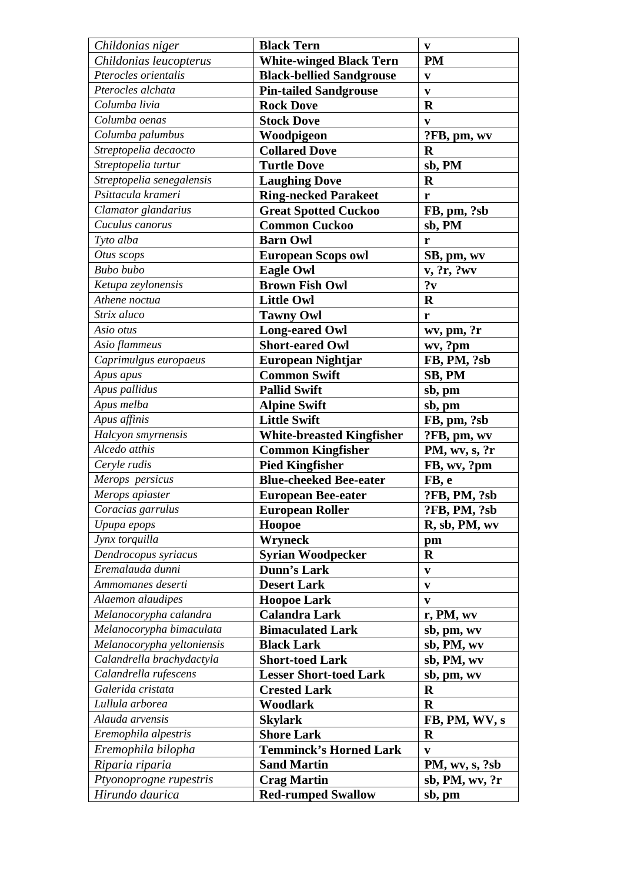| Childonias niger           | <b>Black Tern</b>                | $\mathbf{V}$   |
|----------------------------|----------------------------------|----------------|
| Childonias leucopterus     | <b>White-winged Black Tern</b>   | <b>PM</b>      |
| Pterocles orientalis       | <b>Black-bellied Sandgrouse</b>  | V              |
| Pterocles alchata          | <b>Pin-tailed Sandgrouse</b>     | $\mathbf{V}$   |
| Columba livia              | <b>Rock Dove</b>                 | $\mathbf R$    |
| Columba oenas              | <b>Stock Dove</b>                | V              |
| Columba palumbus           | Woodpigeon                       | ?FB, pm, wv    |
| Streptopelia decaocto      | <b>Collared Dove</b>             | $\mathbf R$    |
| Streptopelia turtur        | <b>Turtle Dove</b>               | sb, PM         |
| Streptopelia senegalensis  | <b>Laughing Dove</b>             | $\mathbf R$    |
| Psittacula krameri         | <b>Ring-necked Parakeet</b>      | r              |
| Clamator glandarius        | <b>Great Spotted Cuckoo</b>      | FB, pm, ?sb    |
| Cuculus canorus            | <b>Common Cuckoo</b>             | sb, PM         |
| Tyto alba                  | <b>Barn Owl</b>                  | r              |
| Otus scops                 | <b>European Scops owl</b>        | SB, pm, wv     |
| <b>Bubo</b> bubo           | <b>Eagle Owl</b>                 | v, ?r, ?wv     |
| Ketupa zeylonensis         | <b>Brown Fish Owl</b>            | ? <sub>v</sub> |
| Athene noctua              | <b>Little Owl</b>                | $\mathbf R$    |
| Strix aluco                | <b>Tawny Owl</b>                 | r              |
| Asio otus                  | <b>Long-eared Owl</b>            | wv, pm, ?r     |
| Asio flammeus              | <b>Short-eared Owl</b>           | wv, ?pm        |
| Caprimulgus europaeus      | <b>European Nightjar</b>         | FB, PM, ?sb    |
| Apus apus                  | <b>Common Swift</b>              | SB, PM         |
| Apus pallidus              | <b>Pallid Swift</b>              | sb, pm         |
| Apus melba                 | <b>Alpine Swift</b>              | sb, pm         |
| Apus affinis               | <b>Little Swift</b>              | FB, pm, ?sb    |
| Halcyon smyrnensis         | <b>White-breasted Kingfisher</b> | ?FB, pm, wv    |
| Alcedo atthis              | <b>Common Kingfisher</b>         | PM, wv, s, ?r  |
| Ceryle rudis               | <b>Pied Kingfisher</b>           | FB, wv, ?pm    |
| Merops persicus            | <b>Blue-cheeked Bee-eater</b>    | FB, e          |
| Merops apiaster            | <b>European Bee-eater</b>        | ?FB, PM, ?sb   |
| Coracias garrulus          | <b>European Roller</b>           | ?FB, PM, ?sb   |
| Upupa epops                | Hoopoe                           | R, sb, PM, wv  |
| Jynx torquilla             | <b>Wryneck</b>                   | pm             |
| Dendrocopus syriacus       | <b>Syrian Woodpecker</b>         | $\bf R$        |
| Eremalauda dunni           | <b>Dunn's Lark</b>               | $\mathbf{v}$   |
| Ammomanes deserti          | <b>Desert Lark</b>               | V              |
| Alaemon alaudipes          | <b>Hoopoe Lark</b>               | $\mathbf{v}$   |
| Melanocorypha calandra     | <b>Calandra Lark</b>             | r, PM, wv      |
| Melanocorypha bimaculata   | <b>Bimaculated Lark</b>          | sb, pm, wv     |
| Melanocorypha yeltoniensis | <b>Black Lark</b>                | sb, PM, wv     |
| Calandrella brachydactyla  | <b>Short-toed Lark</b>           | sb, PM, wv     |
| Calandrella rufescens      | <b>Lesser Short-toed Lark</b>    | sb, pm, wv     |
| Galerida cristata          | <b>Crested Lark</b>              | $\mathbf R$    |
| Lullula arborea            | Woodlark                         | $\mathbf R$    |
| Alauda arvensis            | <b>Skylark</b>                   | FB, PM, WV, s  |
| Eremophila alpestris       | <b>Shore Lark</b>                | $\mathbf R$    |
| Eremophila bilopha         | <b>Temminck's Horned Lark</b>    | V              |
| Riparia riparia            | <b>Sand Martin</b>               | PM, wv, s, ?sb |
| Ptyonoprogne rupestris     | <b>Crag Martin</b>               | sb, PM, wv, ?r |
| Hirundo daurica            | <b>Red-rumped Swallow</b>        | sb, pm         |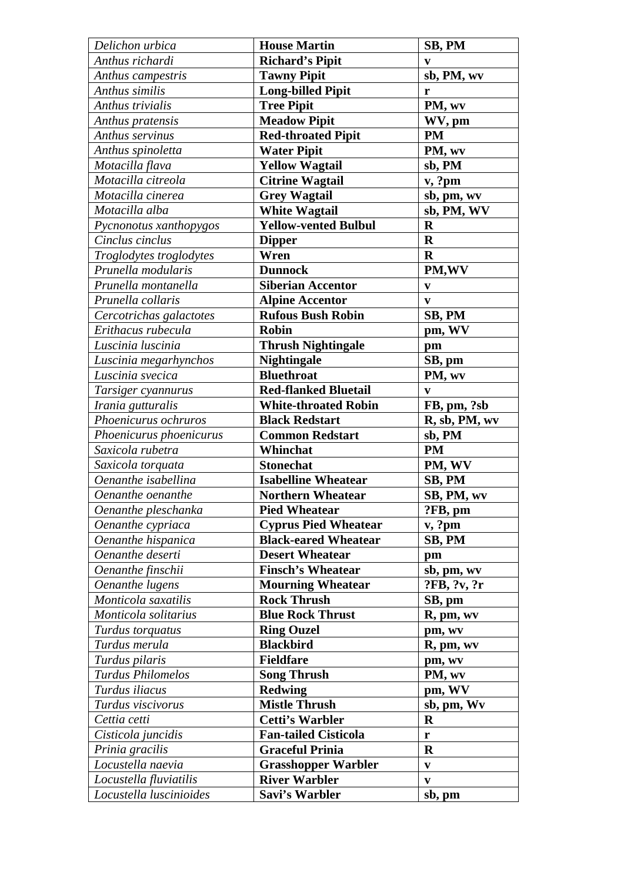| Delichon urbica          | <b>House Martin</b>         | SB, PM        |
|--------------------------|-----------------------------|---------------|
| Anthus richardi          | <b>Richard's Pipit</b>      | V             |
| Anthus campestris        | <b>Tawny Pipit</b>          | sb, PM, wv    |
| Anthus similis           | <b>Long-billed Pipit</b>    | r             |
| Anthus trivialis         | <b>Tree Pipit</b>           | PM, wv        |
| Anthus pratensis         | <b>Meadow Pipit</b>         | WV, pm        |
| Anthus servinus          | <b>Red-throated Pipit</b>   | <b>PM</b>     |
| Anthus spinoletta        | <b>Water Pipit</b>          | PM, wv        |
| Motacilla flava          | <b>Yellow Wagtail</b>       | sb, PM        |
| Motacilla citreola       | <b>Citrine Wagtail</b>      | v, ?pm        |
| Motacilla cinerea        | <b>Grey Wagtail</b>         | sb, pm, wv    |
| Motacilla alba           | <b>White Wagtail</b>        | sb, PM, WV    |
| Pycnonotus xanthopygos   | <b>Yellow-vented Bulbul</b> | $\mathbf R$   |
| Cinclus cinclus          | <b>Dipper</b>               | $\mathbf R$   |
| Troglodytes troglodytes  | Wren                        | $\mathbf R$   |
| Prunella modularis       | <b>Dunnock</b>              | PM, WV        |
| Prunella montanella      | <b>Siberian Accentor</b>    | V             |
| Prunella collaris        | <b>Alpine Accentor</b>      | $\mathbf{v}$  |
| Cercotrichas galactotes  | <b>Rufous Bush Robin</b>    | SB, PM        |
| Erithacus rubecula       | <b>Robin</b>                | pm, WV        |
| Luscinia luscinia        | <b>Thrush Nightingale</b>   | pm            |
| Luscinia megarhynchos    | <b>Nightingale</b>          | SB, pm        |
| Luscinia svecica         | <b>Bluethroat</b>           | PM, wv        |
| Tarsiger cyannurus       | <b>Red-flanked Bluetail</b> | V             |
| Irania gutturalis        | <b>White-throated Robin</b> | FB, pm, ?sb   |
| Phoenicurus ochruros     | <b>Black Redstart</b>       | R, sb, PM, wv |
| Phoenicurus phoenicurus  | <b>Common Redstart</b>      | sb, PM        |
| Saxicola rubetra         | Whinchat                    | <b>PM</b>     |
| Saxicola torquata        | <b>Stonechat</b>            | PM, WV        |
| Oenanthe isabellina      | <b>Isabelline Wheatear</b>  | SB, PM        |
| Oenanthe oenanthe        | <b>Northern Wheatear</b>    | SB, PM, wv    |
| Oenanthe pleschanka      | <b>Pied Wheatear</b>        | ?FB, pm       |
| Oenanthe cypriaca        | <b>Cyprus Pied Wheatear</b> | v, ?pm        |
| Oenanthe hispanica       | <b>Black-eared Wheatear</b> | SB, PM        |
| Oenanthe deserti         | <b>Desert Wheatear</b>      | pm            |
| Oenanthe finschii        | <b>Finsch's Wheatear</b>    | sb, pm, wv    |
| Oenanthe lugens          | <b>Mourning Wheatear</b>    | ?FB, ?v, ?r   |
| Monticola saxatilis      | <b>Rock Thrush</b>          | SB, pm        |
| Monticola solitarius     | <b>Blue Rock Thrust</b>     | R, pm, wv     |
| Turdus torquatus         | <b>Ring Ouzel</b>           | pm, wv        |
| Turdus merula            | <b>Blackbird</b>            | R, pm, wv     |
| Turdus pilaris           | <b>Fieldfare</b>            | pm, wv        |
| <b>Turdus Philomelos</b> | <b>Song Thrush</b>          | PM, wv        |
| Turdus iliacus           | <b>Redwing</b>              | pm, WV        |
| Turdus viscivorus        | <b>Mistle Thrush</b>        | sb, pm, Wv    |
| Cettia cetti             | <b>Cetti's Warbler</b>      | $\mathbf R$   |
| Cisticola juncidis       | <b>Fan-tailed Cisticola</b> | r             |
| Prinia gracilis          | <b>Graceful Prinia</b>      | $\mathbf R$   |
| Locustella naevia        | <b>Grasshopper Warbler</b>  | $\mathbf{v}$  |
| Locustella fluviatilis   | <b>River Warbler</b>        | V             |
| Locustella luscinioides  | Savi's Warbler              | sb, pm        |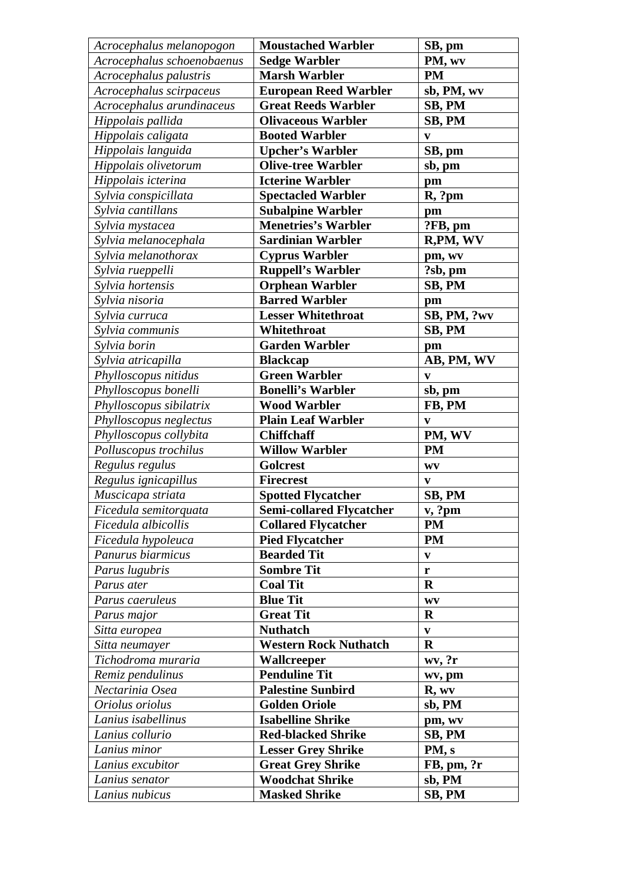| Acrocephalus melanopogon   | <b>Moustached Warbler</b>       | SB, pm                 |
|----------------------------|---------------------------------|------------------------|
| Acrocephalus schoenobaenus | <b>Sedge Warbler</b>            | PM, wv                 |
| Acrocephalus palustris     | <b>Marsh Warbler</b>            | <b>PM</b>              |
| Acrocephalus scirpaceus    | <b>European Reed Warbler</b>    | sb, PM, wv             |
| Acrocephalus arundinaceus  | <b>Great Reeds Warbler</b>      | SB, PM                 |
| Hippolais pallida          | <b>Olivaceous Warbler</b>       | SB, PM                 |
| Hippolais caligata         | <b>Booted Warbler</b>           | $\mathbf{v}$           |
| Hippolais languida         | <b>Upcher's Warbler</b>         | SB, pm                 |
| Hippolais olivetorum       | <b>Olive-tree Warbler</b>       | sb, pm                 |
| Hippolais icterina         | <b>Icterine Warbler</b>         | pm                     |
| Sylvia conspicillata       | <b>Spectacled Warbler</b>       | R, ?pm                 |
| Sylvia cantillans          | <b>Subalpine Warbler</b>        | pm                     |
| Sylvia mystacea            | <b>Menetries's Warbler</b>      | ?FB, pm                |
| Sylvia melanocephala       | <b>Sardinian Warbler</b>        | R, PM, WV              |
| Sylvia melanothorax        | <b>Cyprus Warbler</b>           | pm, wv                 |
| Sylvia rueppelli           | <b>Ruppell's Warbler</b>        | ?sb, pm                |
| Sylvia hortensis           | <b>Orphean Warbler</b>          | SB, PM                 |
| Sylvia nisoria             | <b>Barred Warbler</b>           | pm                     |
| Sylvia curruca             | <b>Lesser Whitethroat</b>       | SB, PM, ?wv            |
| Sylvia communis            | Whitethroat                     | SB, PM                 |
| Sylvia borin               | <b>Garden Warbler</b>           | pm                     |
| Sylvia atricapilla         | <b>Blackcap</b>                 | AB, PM, WV             |
| Phylloscopus nitidus       | <b>Green Warbler</b>            | $\mathbf{v}$           |
| Phylloscopus bonelli       | <b>Bonelli's Warbler</b>        | sb, pm                 |
| Phylloscopus sibilatrix    | <b>Wood Warbler</b>             | FB, PM                 |
| Phylloscopus neglectus     | <b>Plain Leaf Warbler</b>       | $\mathbf{v}$           |
| Phylloscopus collybita     | <b>Chiffchaff</b>               | PM, WV                 |
| Polluscopus trochilus      | <b>Willow Warbler</b>           | <b>PM</b>              |
| Regulus regulus            | <b>Golcrest</b>                 | WV                     |
| Regulus ignicapillus       | <b>Firecrest</b>                | $\mathbf{V}$           |
| Muscicapa striata          | <b>Spotted Flycatcher</b>       | SB, PM                 |
| Ficedula semitorquata      | <b>Semi-collared Flycatcher</b> | v, ?pm                 |
| Ficedula albicollis        | <b>Collared Flycatcher</b>      | <b>PM</b>              |
| Ficedula hypoleuca         | <b>Pied Flycatcher</b>          | <b>PM</b>              |
| Panurus biarmicus          | <b>Bearded Tit</b>              | $\mathbf{v}$           |
| Parus lugubris             | <b>Sombre Tit</b>               | $\mathbf r$            |
| Parus ater                 | <b>Coal Tit</b>                 | $\mathbf R$            |
| Parus caeruleus            | <b>Blue Tit</b>                 | $\mathbf{W}\mathbf{V}$ |
| Parus major                | <b>Great Tit</b>                | $\mathbf R$            |
| Sitta europea              | <b>Nuthatch</b>                 | V                      |
| Sitta neumayer             | <b>Western Rock Nuthatch</b>    | $\mathbf R$            |
| Tichodroma muraria         | Wallcreeper                     | wv, ?r                 |
| Remiz pendulinus           | <b>Penduline Tit</b>            | wv, pm                 |
| Nectarinia Osea            | <b>Palestine Sunbird</b>        | R, wv                  |
| Oriolus oriolus            | <b>Golden Oriole</b>            | sb, PM                 |
| Lanius isabellinus         | <b>Isabelline Shrike</b>        | pm, wv                 |
| Lanius collurio            | <b>Red-blacked Shrike</b>       | SB, PM                 |
| Lanius minor               | <b>Lesser Grey Shrike</b>       | PM, s                  |
| Lanius excubitor           | <b>Great Grey Shrike</b>        | $FB$ , pm, $?r$        |
| Lanius senator             | <b>Woodchat Shrike</b>          | sb, PM                 |
| Lanius nubicus             | <b>Masked Shrike</b>            | SB, PM                 |